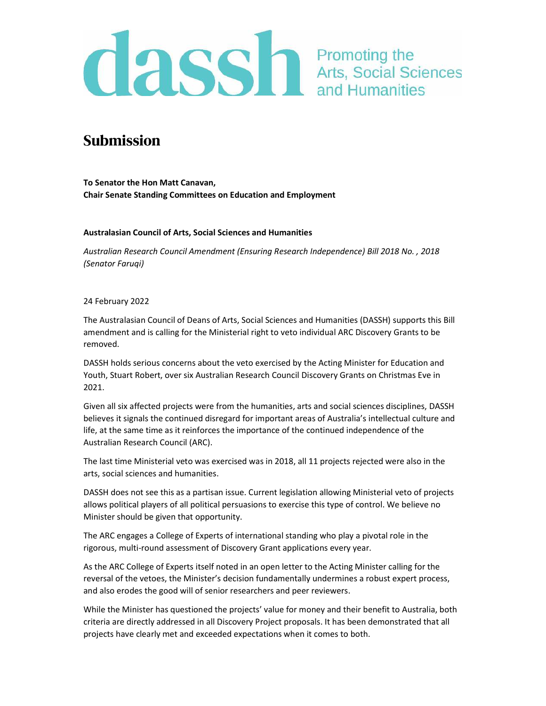# **CLSS** Promoting the Arts, Social Sciences

## Submission

To Senator the Hon Matt Canavan, Chair Senate Standing Committees on Education and Employment

## Australasian Council of Arts, Social Sciences and Humanities

Australian Research Council Amendment (Ensuring Research Independence) Bill 2018 No. , 2018 (Senator Faruqi)

## 24 February 2022

The Australasian Council of Deans of Arts, Social Sciences and Humanities (DASSH) supports this Bill amendment and is calling for the Ministerial right to veto individual ARC Discovery Grants to be removed.

DASSH holds serious concerns about the veto exercised by the Acting Minister for Education and Youth, Stuart Robert, over six Australian Research Council Discovery Grants on Christmas Eve in 2021.

Given all six affected projects were from the humanities, arts and social sciences disciplines, DASSH believes it signals the continued disregard for important areas of Australia's intellectual culture and life, at the same time as it reinforces the importance of the continued independence of the Australian Research Council (ARC).

The last time Ministerial veto was exercised was in 2018, all 11 projects rejected were also in the arts, social sciences and humanities.

DASSH does not see this as a partisan issue. Current legislation allowing Ministerial veto of projects allows political players of all political persuasions to exercise this type of control. We believe no Minister should be given that opportunity.

The ARC engages a College of Experts of international standing who play a pivotal role in the rigorous, multi-round assessment of Discovery Grant applications every year.

As the ARC College of Experts itself noted in an open letter to the Acting Minister calling for the reversal of the vetoes, the Minister's decision fundamentally undermines a robust expert process, and also erodes the good will of senior researchers and peer reviewers.

While the Minister has questioned the projects' value for money and their benefit to Australia, both criteria are directly addressed in all Discovery Project proposals. It has been demonstrated that all projects have clearly met and exceeded expectations when it comes to both.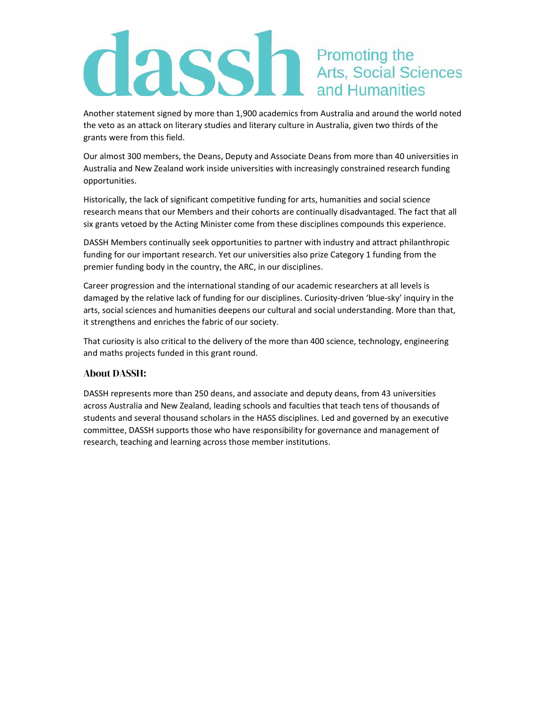## **CLASS** The Promoting the Arts, Social Sciences

Another statement signed by more than 1,900 academics from Australia and around the world noted the veto as an attack on literary studies and literary culture in Australia, given two thirds of the grants were from this field.

Our almost 300 members, the Deans, Deputy and Associate Deans from more than 40 universities in Australia and New Zealand work inside universities with increasingly constrained research funding opportunities.

Historically, the lack of significant competitive funding for arts, humanities and social science research means that our Members and their cohorts are continually disadvantaged. The fact that all six grants vetoed by the Acting Minister come from these disciplines compounds this experience.

DASSH Members continually seek opportunities to partner with industry and attract philanthropic funding for our important research. Yet our universities also prize Category 1 funding from the premier funding body in the country, the ARC, in our disciplines.

Career progression and the international standing of our academic researchers at all levels is damaged by the relative lack of funding for our disciplines. Curiosity-driven 'blue-sky' inquiry in the arts, social sciences and humanities deepens our cultural and social understanding. More than that, it strengthens and enriches the fabric of our society.

That curiosity is also critical to the delivery of the more than 400 science, technology, engineering and maths projects funded in this grant round.

## About DASSH:

DASSH represents more than 250 deans, and associate and deputy deans, from 43 universities across Australia and New Zealand, leading schools and faculties that teach tens of thousands of students and several thousand scholars in the HASS disciplines. Led and governed by an executive committee, DASSH supports those who have responsibility for governance and management of research, teaching and learning across those member institutions.